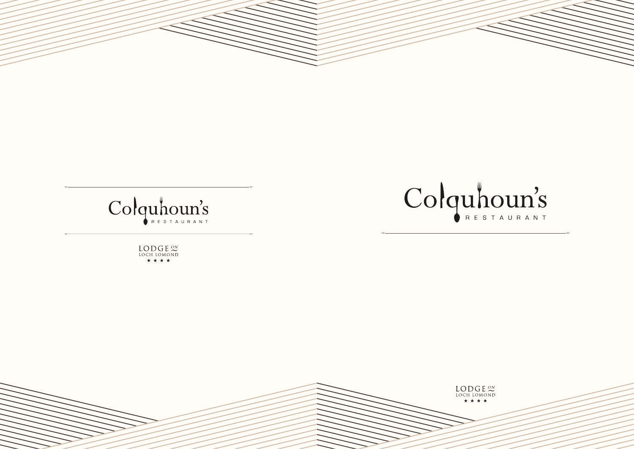

# Colquhoun's

LODGE<sup>ON</sup>